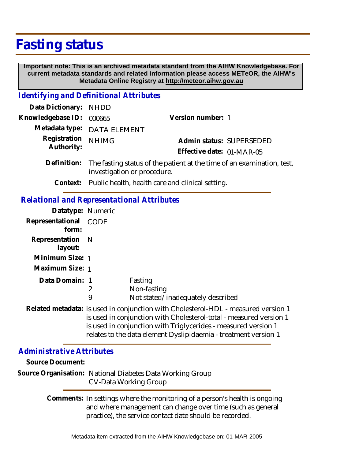## **Fasting status**

 **Important note: This is an archived metadata standard from the AIHW Knowledgebase. For current metadata standards and related information please access METeOR, the AIHW's Metadata Online Registry at http://meteor.aihw.gov.au**

## *Identifying and Definitional Attributes*

| Data Dictionary: NHDD    |                                                                              |                           |
|--------------------------|------------------------------------------------------------------------------|---------------------------|
| Knowledgebase ID: 000665 |                                                                              | Version number: 1         |
|                          | Metadata type: DATA ELEMENT                                                  |                           |
| Registration NHIMG       |                                                                              | Admin status: SUPERSEDED  |
| Authority:               |                                                                              | Effective date: 01-MAR-05 |
|                          | Definition: The fasting status of the patient at the time of an examination. |                           |

- examination, test, investigation or procedure. **Definition:**
	- **Context:** Public health, health care and clinical setting.

## *Relational and Representational Attributes*

| Datatype: Numeric           |        |                                                                                                                                                                                                                                                                                               |
|-----------------------------|--------|-----------------------------------------------------------------------------------------------------------------------------------------------------------------------------------------------------------------------------------------------------------------------------------------------|
| Representational<br>form:   | CODE   |                                                                                                                                                                                                                                                                                               |
| Representation N<br>layout: |        |                                                                                                                                                                                                                                                                                               |
| Minimum Size: 1             |        |                                                                                                                                                                                                                                                                                               |
| Maximum Size: 1             |        |                                                                                                                                                                                                                                                                                               |
| Data Domain: 1              | 2<br>9 | Fasting<br>Non-fasting<br>Not stated/inadequately described                                                                                                                                                                                                                                   |
|                             |        | Related metadata: is used in conjunction with Cholesterol-HDL - measured version 1<br>is used in conjunction with Cholesterol-total - measured version 1<br>is used in conjunction with Triglycerides - measured version 1<br>relates to the data element Dyslipidaemia - treatment version 1 |

## *Administrative Attributes*

| Source Document: |                                                                                                                                                                                                     |
|------------------|-----------------------------------------------------------------------------------------------------------------------------------------------------------------------------------------------------|
|                  | Source Organisation: National Diabetes Data Working Group<br><b>CV-Data Working Group</b>                                                                                                           |
|                  | Comments: In settings where the monitoring of a person's health is ongoing<br>and where management can change over time (such as general<br>practice), the service contact date should be recorded. |